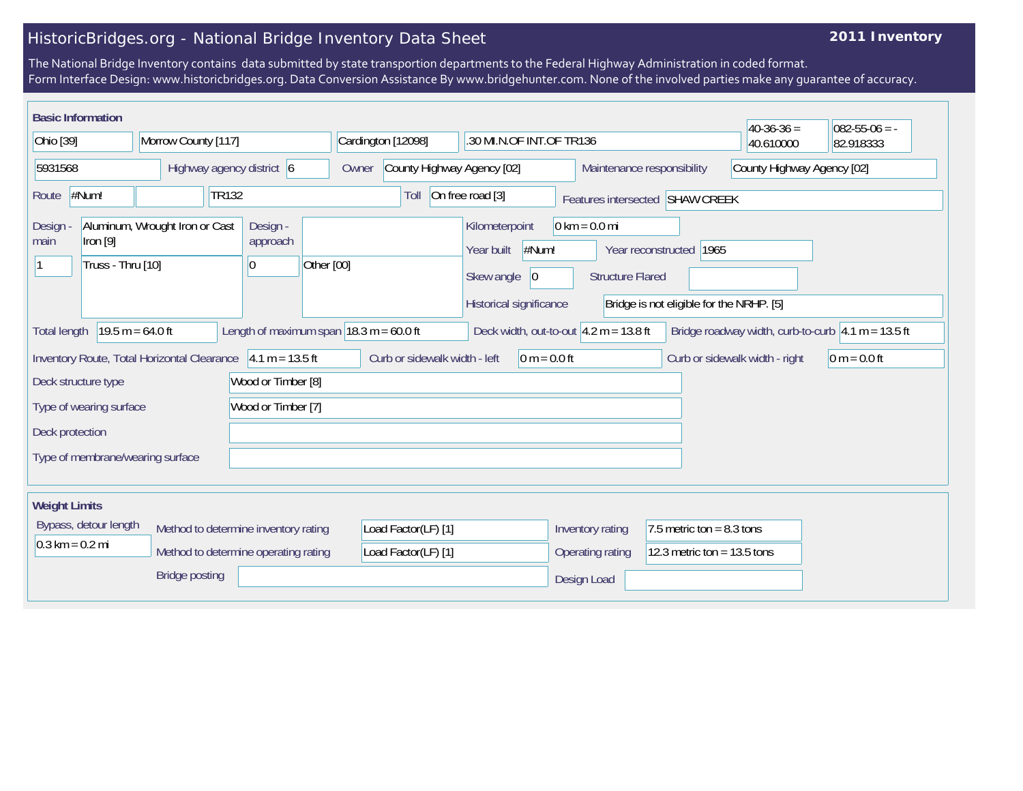## HistoricBridges.org - National Bridge Inventory Data Sheet

## **2011 Inventory**

The National Bridge Inventory contains data submitted by state transportion departments to the Federal Highway Administration in coded format. Form Interface Design: www.historicbridges.org. Data Conversion Assistance By www.bridgehunter.com. None of the involved parties make any guarantee of accuracy.

| <b>Basic Information</b>                                                                                 |                                                                                                                                                                                                                                    |                                         |                                            |                                                                                       |                                                            |                                                              | $40-36-36=$                    | $082 - 55 - 06 = -$ |
|----------------------------------------------------------------------------------------------------------|------------------------------------------------------------------------------------------------------------------------------------------------------------------------------------------------------------------------------------|-----------------------------------------|--------------------------------------------|---------------------------------------------------------------------------------------|------------------------------------------------------------|--------------------------------------------------------------|--------------------------------|---------------------|
| Ohio [39]<br>Morrow County [117]                                                                         |                                                                                                                                                                                                                                    | Cardington [12098]                      | .30 MI.N.OF INT.OF TR136                   |                                                                                       |                                                            | 40.610000                                                    | 82.918333                      |                     |
| 5931568<br>Highway agency district 6                                                                     |                                                                                                                                                                                                                                    | County Highway Agency [02]<br>Owner     |                                            | County Highway Agency [02]<br>Maintenance responsibility                              |                                                            |                                                              |                                |                     |
| #Num!<br><b>TR132</b><br>Route                                                                           |                                                                                                                                                                                                                                    |                                         | Toll                                       | On free road [3]                                                                      |                                                            | Features intersected SHAW CREEK                              |                                |                     |
| Design<br>lron [9]<br>main<br>Truss - Thru [10]                                                          | Aluminum, Wrought Iron or Cast                                                                                                                                                                                                     | Design -<br>approach<br>Other [00]<br>0 |                                            | Kilometerpoint<br>#Num!<br>Year built<br>Skew angle<br> 0 <br>Historical significance | $0 \text{ km} = 0.0 \text{ mi}$<br><b>Structure Flared</b> | Year reconstructed 1965                                      |                                |                     |
| <b>Total length</b>                                                                                      | Bridge is not eligible for the NRHP. [5]<br>Length of maximum span $ 18.3 \text{ m} = 60.0 \text{ ft} $<br>$19.5 m = 64.0 ft$<br>Deck width, out-to-out $4.2 m = 13.8 ft$<br>Bridge roadway width, curb-to-curb $ 4.1 m = 13.5 ft$ |                                         |                                            |                                                                                       |                                                            |                                                              |                                |                     |
| Inventory Route, Total Horizontal Clearance 4.1 m = 13.5 ft<br>Wood or Timber [8]<br>Deck structure type |                                                                                                                                                                                                                                    |                                         | Curb or sidewalk width - left              | $0 m = 0.0 ft$                                                                        |                                                            |                                                              | Curb or sidewalk width - right | $0 m = 0.0 ft$      |
| Type of wearing surface                                                                                  |                                                                                                                                                                                                                                    | Wood or Timber [7]                      |                                            |                                                                                       |                                                            |                                                              |                                |                     |
| Deck protection<br>Type of membrane/wearing surface                                                      |                                                                                                                                                                                                                                    |                                         |                                            |                                                                                       |                                                            |                                                              |                                |                     |
| <b>Weight Limits</b>                                                                                     |                                                                                                                                                                                                                                    |                                         |                                            |                                                                                       |                                                            |                                                              |                                |                     |
| Bypass, detour length<br>$0.3 \text{ km} = 0.2 \text{ mi}$                                               | Method to determine inventory rating<br>Method to determine operating rating                                                                                                                                                       |                                         | Load Factor(LF) [1]<br>Load Factor(LF) [1] |                                                                                       | Inventory rating<br>Operating rating                       | 7.5 metric ton = $8.3$ tons<br>12.3 metric ton = $13.5$ tons |                                |                     |
|                                                                                                          | <b>Bridge posting</b>                                                                                                                                                                                                              |                                         |                                            |                                                                                       | Design Load                                                |                                                              |                                |                     |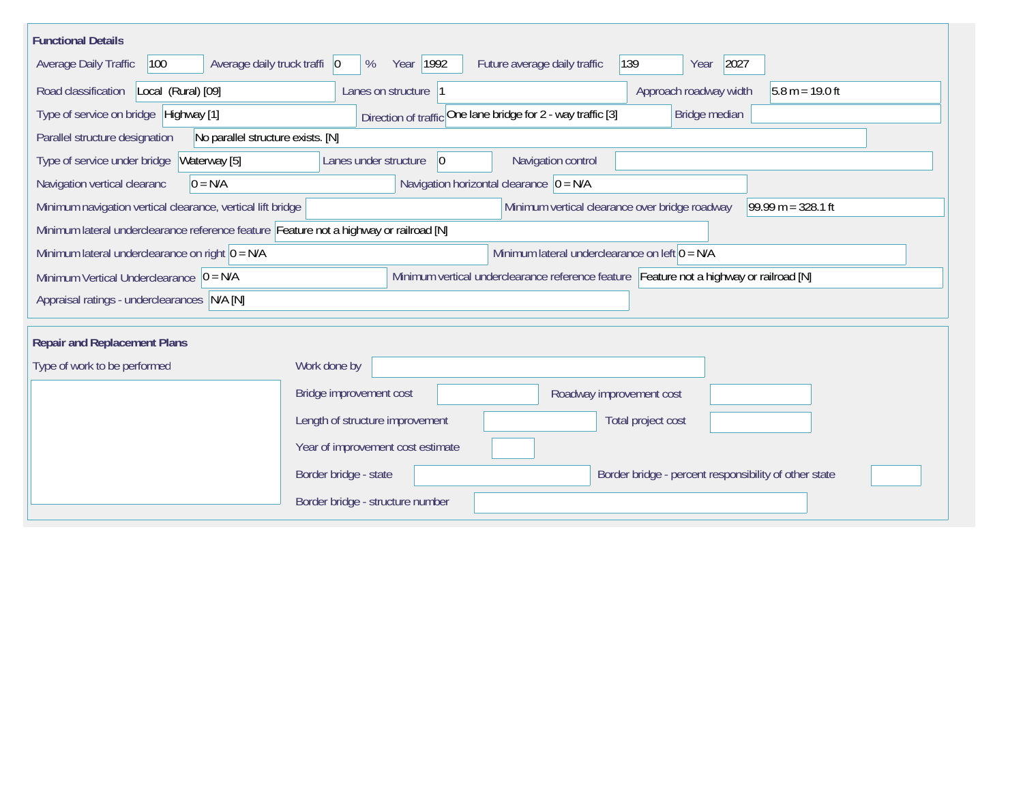| <b>Functional Details</b>                                                              |                                                                                         |  |  |  |  |  |  |
|----------------------------------------------------------------------------------------|-----------------------------------------------------------------------------------------|--|--|--|--|--|--|
| 100<br>Average daily truck traffi   0<br>Average Daily Traffic                         | 2027<br>Year 1992<br>Future average daily traffic<br>139<br>%<br>Year                   |  |  |  |  |  |  |
| Road classification<br>Local (Rural) [09]                                              | Approach roadway width<br>Lanes on structure  1<br>$5.8 m = 19.0 ft$                    |  |  |  |  |  |  |
| Type of service on bridge Highway [1]                                                  | Direction of traffic One lane bridge for 2 - way traffic [3]<br>Bridge median           |  |  |  |  |  |  |
| Parallel structure designation<br>No parallel structure exists. [N]                    |                                                                                         |  |  |  |  |  |  |
| Waterway [5]<br>Type of service under bridge                                           | Navigation control<br> 0 <br>Lanes under structure                                      |  |  |  |  |  |  |
| $0 = N/A$<br>Navigation vertical clearanc                                              | Navigation horizontal clearance $ 0 = N/A$                                              |  |  |  |  |  |  |
| Minimum navigation vertical clearance, vertical lift bridge                            | Minimum vertical clearance over bridge roadway<br>$99.99 m = 328.1 ft$                  |  |  |  |  |  |  |
| Minimum lateral underclearance reference feature Feature not a highway or railroad [N] |                                                                                         |  |  |  |  |  |  |
| Minimum lateral underclearance on right $0 = N/A$                                      | Minimum lateral underclearance on left $0 = N/A$                                        |  |  |  |  |  |  |
| Minimum Vertical Underclearance $ 0 = N/A$                                             | Minimum vertical underclearance reference feature Feature not a highway or railroad [N] |  |  |  |  |  |  |
| Appraisal ratings - underclearances N/A [N]                                            |                                                                                         |  |  |  |  |  |  |
|                                                                                        |                                                                                         |  |  |  |  |  |  |
| <b>Repair and Replacement Plans</b>                                                    |                                                                                         |  |  |  |  |  |  |
| Type of work to be performed                                                           | Work done by                                                                            |  |  |  |  |  |  |
|                                                                                        | Bridge improvement cost<br>Roadway improvement cost                                     |  |  |  |  |  |  |
|                                                                                        | Length of structure improvement<br>Total project cost                                   |  |  |  |  |  |  |
|                                                                                        | Year of improvement cost estimate                                                       |  |  |  |  |  |  |
|                                                                                        | Border bridge - state<br>Border bridge - percent responsibility of other state          |  |  |  |  |  |  |
|                                                                                        | Border bridge - structure number                                                        |  |  |  |  |  |  |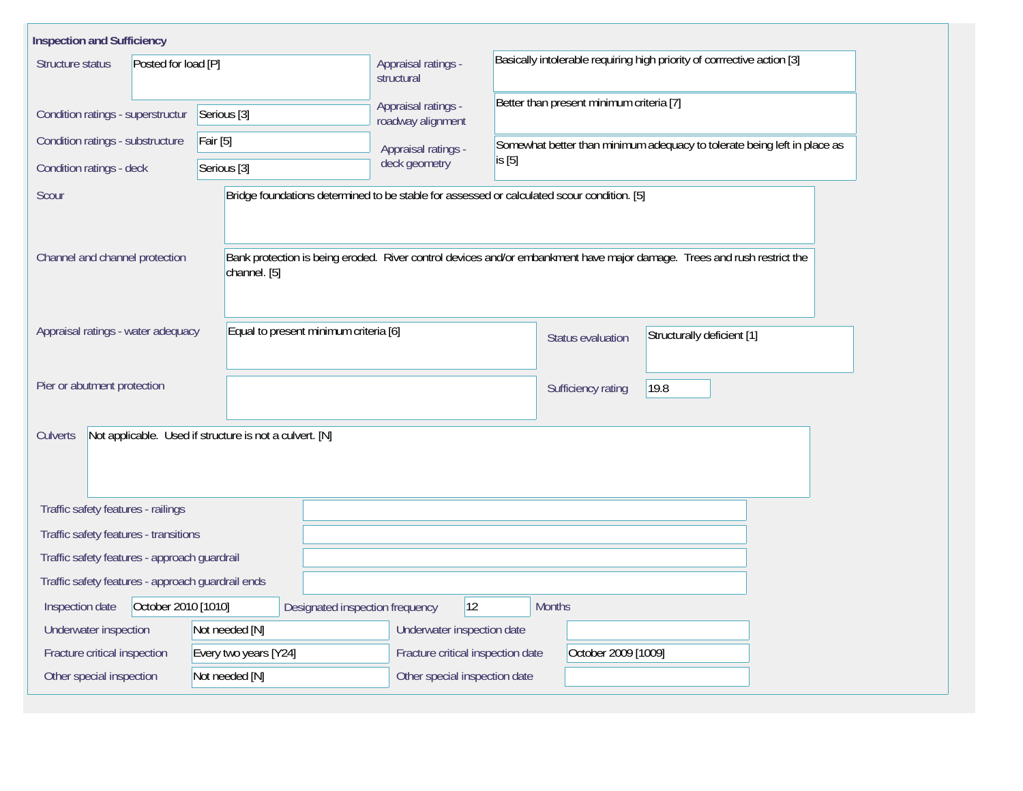| <b>Inspection and Sufficiency</b>                                          |                                                                                            |                                                                         |                                                                                      |                                                                          |                                                                                                                         |  |  |  |
|----------------------------------------------------------------------------|--------------------------------------------------------------------------------------------|-------------------------------------------------------------------------|--------------------------------------------------------------------------------------|--------------------------------------------------------------------------|-------------------------------------------------------------------------------------------------------------------------|--|--|--|
| Structure status<br>Posted for load [P]                                    | Appraisal ratings -<br>structural                                                          | Basically intolerable requiring high priority of corrrective action [3] |                                                                                      |                                                                          |                                                                                                                         |  |  |  |
| Condition ratings - superstructur                                          | Serious <sup>[3]</sup>                                                                     |                                                                         | Better than present minimum criteria [7]<br>Appraisal ratings -<br>roadway alignment |                                                                          |                                                                                                                         |  |  |  |
| Condition ratings - substructure                                           | Fair [5]                                                                                   | Appraisal ratings -                                                     |                                                                                      | Somewhat better than minimum adequacy to tolerate being left in place as |                                                                                                                         |  |  |  |
| Condition ratings - deck                                                   | Serious <sup>[3]</sup>                                                                     | deck geometry                                                           | is [5]                                                                               |                                                                          |                                                                                                                         |  |  |  |
| Scour                                                                      | Bridge foundations determined to be stable for assessed or calculated scour condition. [5] |                                                                         |                                                                                      |                                                                          |                                                                                                                         |  |  |  |
| Channel and channel protection                                             | channel. [5]                                                                               |                                                                         |                                                                                      |                                                                          | Bank protection is being eroded. River control devices and/or embankment have major damage. Trees and rush restrict the |  |  |  |
| Appraisal ratings - water adequacy                                         | Equal to present minimum criteria [6]                                                      |                                                                         |                                                                                      | <b>Status evaluation</b>                                                 | Structurally deficient [1]                                                                                              |  |  |  |
| Pier or abutment protection                                                |                                                                                            |                                                                         |                                                                                      | Sufficiency rating                                                       | 19.8                                                                                                                    |  |  |  |
| Not applicable. Used if structure is not a culvert. [N]<br><b>Culverts</b> |                                                                                            |                                                                         |                                                                                      |                                                                          |                                                                                                                         |  |  |  |
| Traffic safety features - railings                                         |                                                                                            |                                                                         |                                                                                      |                                                                          |                                                                                                                         |  |  |  |
| Traffic safety features - transitions                                      |                                                                                            |                                                                         |                                                                                      |                                                                          |                                                                                                                         |  |  |  |
| Traffic safety features - approach guardrail                               |                                                                                            |                                                                         |                                                                                      |                                                                          |                                                                                                                         |  |  |  |
| Traffic safety features - approach guardrail ends                          |                                                                                            |                                                                         |                                                                                      |                                                                          |                                                                                                                         |  |  |  |
| October 2010 [1010]<br>Inspection date                                     | 12 <br>Designated inspection frequency                                                     | <b>Months</b>                                                           |                                                                                      |                                                                          |                                                                                                                         |  |  |  |
| Underwater inspection                                                      | Not needed [N]                                                                             | Underwater inspection date                                              |                                                                                      |                                                                          |                                                                                                                         |  |  |  |
| Fracture critical inspection<br>Every two years [Y24]                      |                                                                                            |                                                                         | Fracture critical inspection date<br>October 2009 [1009]                             |                                                                          |                                                                                                                         |  |  |  |
| Other special inspection                                                   | Not needed [N]                                                                             |                                                                         | Other special inspection date                                                        |                                                                          |                                                                                                                         |  |  |  |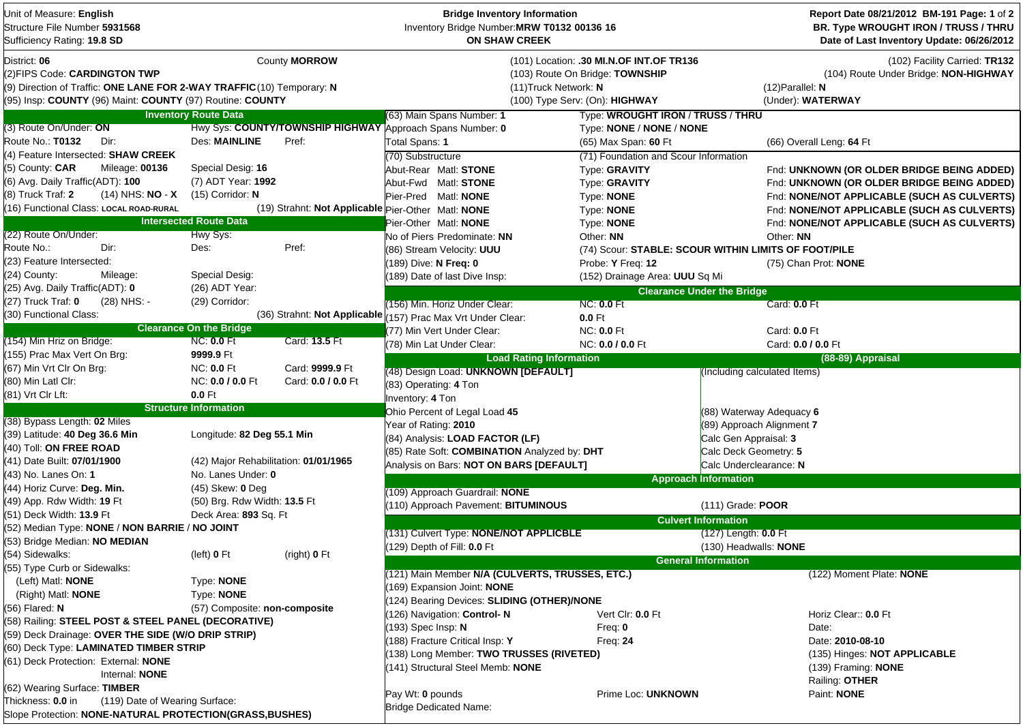| Unit of Measure: English<br>Structure File Number 5931568<br>Sufficiency Rating: 19.8 SD                                                                                            |                                       |                      | <b>Bridge Inventory Information</b><br>Inventory Bridge Number: MRW T0132 00136 16<br><b>ON SHAW CREEK</b> |                                                                                                               |                                   | Report Date 08/21/2012 BM-191 Page: 1 of 2<br>BR. Type WROUGHT IRON / TRUSS / THRU<br>Date of Last Inventory Update: 06/26/2012 |
|-------------------------------------------------------------------------------------------------------------------------------------------------------------------------------------|---------------------------------------|----------------------|------------------------------------------------------------------------------------------------------------|---------------------------------------------------------------------------------------------------------------|-----------------------------------|---------------------------------------------------------------------------------------------------------------------------------|
| District: 06<br>(2)FIPS Code: CARDINGTON TWP<br>(9) Direction of Traffic: ONE LANE FOR 2-WAY TRAFFIC (10) Temporary: N<br>(95) Insp: COUNTY (96) Maint: COUNTY (97) Routine: COUNTY |                                       | County <b>MORROW</b> | (11) Truck Network: N                                                                                      | (101) Location: .30 MI.N.OF INT.OF TR136<br>(103) Route On Bridge: TOWNSHIP<br>(100) Type Serv: (On): HIGHWAY |                                   | (102) Facility Carried: TR132<br>(104) Route Under Bridge: NON-HIGHWAY<br>$(12)$ Parallel: N<br>(Under): WATERWAY               |
|                                                                                                                                                                                     | <b>Inventory Route Data</b>           |                      | (63) Main Spans Number: 1                                                                                  | Type: WROUGHT IRON / TRUSS / THRU                                                                             |                                   |                                                                                                                                 |
| (3) Route On/Under: ON                                                                                                                                                              |                                       |                      | Hwy Sys: COUNTY/TOWNSHIP HIGHWAY Approach Spans Number: 0                                                  | Type: NONE / NONE / NONE                                                                                      |                                   |                                                                                                                                 |
| Route No.: T0132<br>Dir:                                                                                                                                                            | <b>Des: MAINLINE</b>                  | Pref:                | Total Spans: 1                                                                                             | (65) Max Span: 60 Ft                                                                                          |                                   | (66) Overall Leng: 64 Ft                                                                                                        |
| (4) Feature Intersected: SHAW CREEK                                                                                                                                                 |                                       |                      | (70) Substructure                                                                                          | (71) Foundation and Scour Information                                                                         |                                   |                                                                                                                                 |
| (5) County: CAR<br>Mileage: 00136                                                                                                                                                   | Special Desig: 16                     |                      | Abut-Rear Matl: STONE                                                                                      | Type: GRAVITY                                                                                                 |                                   | Fnd: UNKNOWN (OR OLDER BRIDGE BEING ADDED)                                                                                      |
| (6) Avg. Daily Traffic(ADT): 100                                                                                                                                                    | (7) ADT Year: 1992                    |                      | Abut-Fwd Matl: STONE                                                                                       | Type: GRAVITY                                                                                                 |                                   | Fnd: UNKNOWN (OR OLDER BRIDGE BEING ADDED)                                                                                      |
| (8) Truck Traf: 2<br>$(14)$ NHS: NO - X                                                                                                                                             | $(15)$ Corridor: N                    |                      | Pier-Pred Matl: NONE                                                                                       | Type: NONE                                                                                                    |                                   | Fnd: NONE/NOT APPLICABLE (SUCH AS CULVERTS)                                                                                     |
| (16) Functional Class: LOCAL ROAD-RURAL                                                                                                                                             |                                       |                      | (19) Strahnt: Not Applicable Pier-Other Matl: NONE                                                         | Type: NONE                                                                                                    |                                   | Fnd: NONE/NOT APPLICABLE (SUCH AS CULVERTS)                                                                                     |
|                                                                                                                                                                                     | <b>Intersected Route Data</b>         |                      | Pier-Other Matl: NONE                                                                                      | Type: NONE                                                                                                    |                                   | Fnd: NONE/NOT APPLICABLE (SUCH AS CULVERTS)                                                                                     |
| (22) Route On/Under:                                                                                                                                                                | Hwy Sys:                              |                      | No of Piers Predominate: NN                                                                                | Other: NN                                                                                                     |                                   | Other: NN                                                                                                                       |
| Route No.:<br>Dir:                                                                                                                                                                  | Des:                                  | Pref:                | (86) Stream Velocity: UUU                                                                                  | (74) Scour: STABLE: SCOUR WITHIN LIMITS OF FOOT/PILE                                                          |                                   |                                                                                                                                 |
| (23) Feature Intersected:                                                                                                                                                           |                                       |                      | (189) Dive: N Freq: 0                                                                                      | Probe: Y Freq: 12                                                                                             |                                   | (75) Chan Prot: NONE                                                                                                            |
| (24) County:<br>Mileage:                                                                                                                                                            | Special Desig:                        |                      | (189) Date of last Dive Insp:                                                                              | (152) Drainage Area: UUU Sq Mi                                                                                |                                   |                                                                                                                                 |
| (25) Avg. Daily Traffic(ADT): 0                                                                                                                                                     | (26) ADT Year:                        |                      |                                                                                                            |                                                                                                               | <b>Clearance Under the Bridge</b> |                                                                                                                                 |
| (27) Truck Traf: 0<br>(28) NHS: -                                                                                                                                                   | (29) Corridor:                        |                      | (156) Min. Horiz Under Clear:                                                                              | <b>NC: 0.0 Ft</b>                                                                                             |                                   | Card: 0.0 Ft                                                                                                                    |
| (30) Functional Class:                                                                                                                                                              |                                       |                      | (36) Strahnt: Not Applicable (157) Prac Max Vrt Under Clear:                                               | $0.0$ Ft                                                                                                      |                                   |                                                                                                                                 |
|                                                                                                                                                                                     | <b>Clearance On the Bridge</b>        |                      | (77) Min Vert Under Clear:                                                                                 | <b>NC: 0.0 Ft</b>                                                                                             |                                   | Card: 0.0 Ft                                                                                                                    |
| (154) Min Hriz on Bridge:                                                                                                                                                           | <b>NC: 0.0 Ft</b>                     | Card: 13.5 Ft        | (78) Min Lat Under Clear:                                                                                  | NC: 0.0 / 0.0 Ft                                                                                              |                                   | Card: 0.0 / 0.0 Ft                                                                                                              |
| (155) Prac Max Vert On Brg:                                                                                                                                                         | 9999.9 Ft                             |                      | <b>Load Rating Information</b>                                                                             |                                                                                                               |                                   | (88-89) Appraisal                                                                                                               |
| (67) Min Vrt Clr On Brg:                                                                                                                                                            | <b>NC: 0.0 Ft</b>                     | Card: 9999.9 Ft      | (48) Design Load: UNKNOWN [DEFAULT]                                                                        |                                                                                                               | (Including calculated Items)      |                                                                                                                                 |
| (80) Min Latl Clr:                                                                                                                                                                  | NC: 0.0 / 0.0 Ft                      | Card: 0.0 / 0.0 Ft   | (83) Operating: 4 Ton                                                                                      |                                                                                                               |                                   |                                                                                                                                 |
| (81) Vrt Clr Lft:                                                                                                                                                                   | 0.0 Ft                                |                      | Inventory: 4 Ton                                                                                           |                                                                                                               |                                   |                                                                                                                                 |
|                                                                                                                                                                                     | <b>Structure Information</b>          |                      | Ohio Percent of Legal Load 45                                                                              |                                                                                                               | $(88)$ Waterway Adequacy 6        |                                                                                                                                 |
| (38) Bypass Length: 02 Miles                                                                                                                                                        |                                       |                      | Year of Rating: 2010                                                                                       |                                                                                                               | (89) Approach Alignment 7         |                                                                                                                                 |
| (39) Latitude: 40 Deg 36.6 Min                                                                                                                                                      | Longitude: 82 Deg 55.1 Min            |                      | (84) Analysis: LOAD FACTOR (LF)                                                                            |                                                                                                               | Calc Gen Appraisal: 3             |                                                                                                                                 |
| (40) Toll: ON FREE ROAD                                                                                                                                                             |                                       |                      | (85) Rate Soft: COMBINATION Analyzed by: DHT                                                               |                                                                                                               | Calc Deck Geometry: 5             |                                                                                                                                 |
| (41) Date Built: 07/01/1900                                                                                                                                                         | (42) Major Rehabilitation: 01/01/1965 |                      | Analysis on Bars: NOT ON BARS [DEFAULT]                                                                    |                                                                                                               | Calc Underclearance: N            |                                                                                                                                 |
| (43)  No. Lanes On: <b>1</b>                                                                                                                                                        | No. Lanes Under: 0                    |                      |                                                                                                            |                                                                                                               | <b>Approach Information</b>       |                                                                                                                                 |
| (44) Horiz Curve: Deg. Min.                                                                                                                                                         | (45) Skew: 0 Deg                      |                      | (109) Approach Guardrail: NONE                                                                             |                                                                                                               |                                   |                                                                                                                                 |
| (49) App. Rdw Width: 19 Ft                                                                                                                                                          | (50) Brg. Rdw Width: 13.5 Ft          |                      | (110) Approach Pavement: BITUMINOUS                                                                        |                                                                                                               | $(111)$ Grade: POOR               |                                                                                                                                 |
| (51) Deck Width: 13.9 Ft                                                                                                                                                            | Deck Area: 893 Sq. Ft                 |                      |                                                                                                            |                                                                                                               | <b>Culvert Information</b>        |                                                                                                                                 |
| (52) Median Type: NONE / NON BARRIE / NO JOINT                                                                                                                                      |                                       |                      | (131) Culvert Type: NONE/NOT APPLICBLE                                                                     |                                                                                                               | $(127)$ Length: $0.0$ Ft          |                                                                                                                                 |
| (53) Bridge Median: NO MEDIAN                                                                                                                                                       |                                       |                      | (129) Depth of Fill: 0.0 Ft                                                                                |                                                                                                               | (130) Headwalls: NONE             |                                                                                                                                 |
| (54) Sidewalks:                                                                                                                                                                     | (left) $0$ Ft                         | (right) 0 Ft         |                                                                                                            |                                                                                                               | <b>General Information</b>        |                                                                                                                                 |
| (55) Type Curb or Sidewalks:                                                                                                                                                        |                                       |                      | (121) Main Member N/A (CULVERTS, TRUSSES, ETC.)                                                            |                                                                                                               |                                   | (122) Moment Plate: NONE                                                                                                        |
| (Left) Matl: <b>NONE</b>                                                                                                                                                            | Type: <b>NONE</b>                     |                      | 169) Expansion Joint: NONE                                                                                 |                                                                                                               |                                   |                                                                                                                                 |
| (Right) Matl: <b>NONE</b>                                                                                                                                                           | Type: NONE                            |                      | (124) Bearing Devices: SLIDING (OTHER)/NONE                                                                |                                                                                                               |                                   |                                                                                                                                 |
| (56) Flared: N                                                                                                                                                                      | (57) Composite: non-composite         |                      | (126) Navigation: Control-N                                                                                | Vert Cir: 0.0 Ft                                                                                              |                                   | Horiz Clear:: 0.0 Ft                                                                                                            |
| (58) Railing: STEEL POST & STEEL PANEL (DECORATIVE)                                                                                                                                 |                                       |                      | (193) Spec Insp: N                                                                                         | Freq: $0$                                                                                                     |                                   | Date:                                                                                                                           |
| (59) Deck Drainage: OVER THE SIDE (W/O DRIP STRIP)                                                                                                                                  |                                       |                      | (188) Fracture Critical Insp: Y                                                                            | Freq: $24$                                                                                                    |                                   | Date: 2010-08-10                                                                                                                |
| (60) Deck Type: LAMINATED TIMBER STRIP                                                                                                                                              |                                       |                      | (138) Long Member: TWO TRUSSES (RIVETED)                                                                   |                                                                                                               |                                   | (135) Hinges: NOT APPLICABLE                                                                                                    |
| (61) Deck Protection: External: NONE                                                                                                                                                |                                       |                      | (141) Structural Steel Memb: NONE                                                                          |                                                                                                               |                                   | (139) Framing: <b>NONE</b>                                                                                                      |
| Internal: NONE                                                                                                                                                                      |                                       |                      |                                                                                                            |                                                                                                               |                                   | Railing: OTHER                                                                                                                  |
| (62) Wearing Surface: TIMBER<br>(119) Date of Wearing Surface:                                                                                                                      |                                       |                      | Pay Wt: 0 pounds                                                                                           | Prime Loc: UNKNOWN                                                                                            |                                   | Paint: NONE                                                                                                                     |
| Thickness: 0.0 in<br>Slope Protection: NONE-NATURAL PROTECTION(GRASS, BUSHES)                                                                                                       |                                       |                      | <b>Bridge Dedicated Name:</b>                                                                              |                                                                                                               |                                   |                                                                                                                                 |
|                                                                                                                                                                                     |                                       |                      |                                                                                                            |                                                                                                               |                                   |                                                                                                                                 |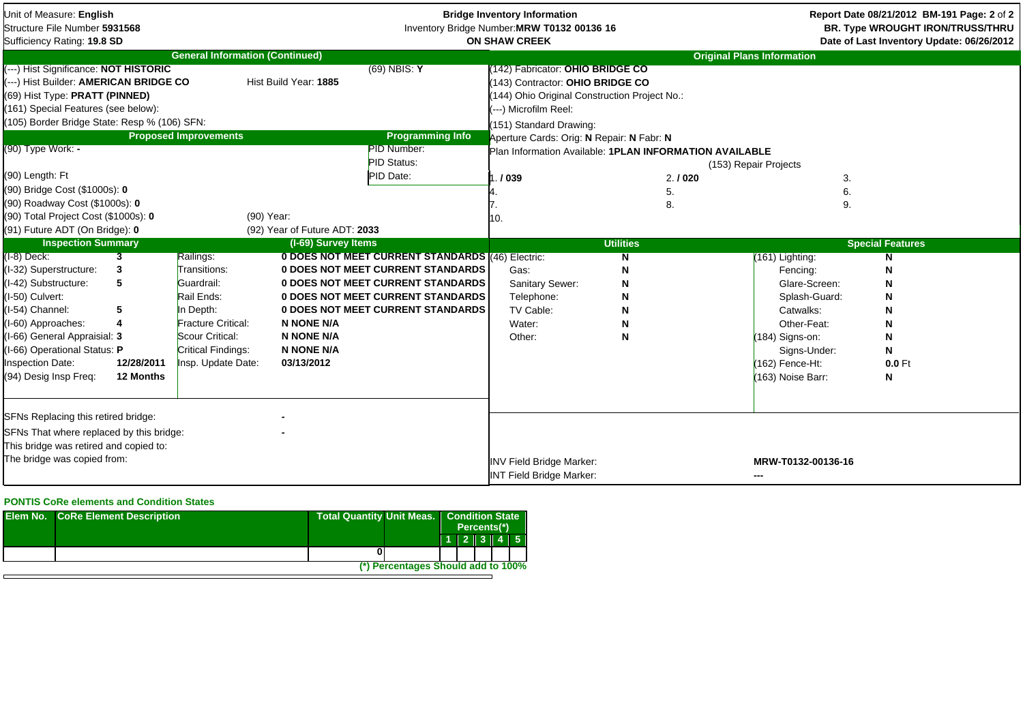| Unit of Measure: English<br>Structure File Number 5931568<br>Sufficiency Rating: 19.8 SD                                                                                                                                     |                         |                                        | <b>Bridge Inventory Information</b><br>Inventory Bridge Number: MRW T0132 00136 16<br><b>ON SHAW CREEK</b> |                                                                                       |                                                                                                                                                                                                                     |                                                         | Report Date 08/21/2012 BM-191 Page: 2 of 2<br><b>BR. Type WROUGHT IRON/TRUSS/THRU</b><br>Date of Last Inventory Update: 06/26/2012 |                         |
|------------------------------------------------------------------------------------------------------------------------------------------------------------------------------------------------------------------------------|-------------------------|----------------------------------------|------------------------------------------------------------------------------------------------------------|---------------------------------------------------------------------------------------|---------------------------------------------------------------------------------------------------------------------------------------------------------------------------------------------------------------------|---------------------------------------------------------|------------------------------------------------------------------------------------------------------------------------------------|-------------------------|
|                                                                                                                                                                                                                              |                         | <b>General Information (Continued)</b> |                                                                                                            |                                                                                       |                                                                                                                                                                                                                     |                                                         | <b>Original Plans Information</b>                                                                                                  |                         |
| (---) Hist Significance: NOT HISTORIC<br>---) Hist Builder: AMERICAN BRIDGE CO<br>(69) Hist Type: PRATT (PINNED)<br>(161) Special Features (see below):<br>(105) Border Bridge State: Resp % (106) SFN:<br>(90) Type Work: - |                         | <b>Proposed Improvements</b>           | Hist Build Year: 1885                                                                                      | $(69)$ NBIS: Y<br><b>Programming Info</b><br><b>PID Number:</b><br><b>PID Status:</b> | 142) Fabricator: OHIO BRIDGE CO<br>143) Contractor: OHIO BRIDGE CO<br>144) Ohio Original Construction Project No.:<br>(---) Microfilm Reel:<br>(151) Standard Drawing:<br>Aperture Cards: Orig: N Repair: N Fabr: N | Plan Information Available: 1PLAN INFORMATION AVAILABLE | (153) Repair Projects                                                                                                              |                         |
| (90) Length: Ft                                                                                                                                                                                                              |                         |                                        |                                                                                                            | PID Date:                                                                             | ./039                                                                                                                                                                                                               | 2.1020                                                  | 3.                                                                                                                                 |                         |
| (90) Bridge Cost (\$1000s): 0                                                                                                                                                                                                |                         |                                        |                                                                                                            |                                                                                       |                                                                                                                                                                                                                     | 5.                                                      | 6.                                                                                                                                 |                         |
| (90) Roadway Cost (\$1000s): 0                                                                                                                                                                                               |                         |                                        |                                                                                                            |                                                                                       |                                                                                                                                                                                                                     | 8.                                                      | 9.                                                                                                                                 |                         |
| (90) Total Project Cost (\$1000s): 0                                                                                                                                                                                         |                         | (90) Year:                             |                                                                                                            |                                                                                       | 10.                                                                                                                                                                                                                 |                                                         |                                                                                                                                    |                         |
| (91) Future ADT (On Bridge): 0                                                                                                                                                                                               |                         |                                        | (92) Year of Future ADT: 2033                                                                              |                                                                                       |                                                                                                                                                                                                                     |                                                         |                                                                                                                                    |                         |
| <b>Inspection Summary</b>                                                                                                                                                                                                    |                         |                                        | (I-69) Survey Items                                                                                        |                                                                                       |                                                                                                                                                                                                                     | <b>Utilities</b>                                        |                                                                                                                                    | <b>Special Features</b> |
| (I-8) Deck:                                                                                                                                                                                                                  | $\overline{\mathbf{3}}$ | Railings:                              |                                                                                                            | 0 DOES NOT MEET CURRENT STANDARDS (46) Electric:                                      |                                                                                                                                                                                                                     | $\overline{\mathsf{N}}$                                 | (161) Lighting:                                                                                                                    | N                       |
| (I-32) Superstructure:                                                                                                                                                                                                       | 3                       | Transitions:                           |                                                                                                            | <b>0 DOES NOT MEET CURRENT STANDARDS</b>                                              | Gas:                                                                                                                                                                                                                | N                                                       | Fencing:                                                                                                                           | N                       |
| (I-42) Substructure:                                                                                                                                                                                                         | 5                       | Guardrail:                             |                                                                                                            | 0 DOES NOT MEET CURRENT STANDARDS                                                     | Sanitary Sewer:                                                                                                                                                                                                     | N                                                       | Glare-Screen:                                                                                                                      | N                       |
| (I-50) Culvert:                                                                                                                                                                                                              |                         | Rail Ends:                             |                                                                                                            | 0 DOES NOT MEET CURRENT STANDARDS                                                     | Telephone:                                                                                                                                                                                                          | N                                                       | Splash-Guard:                                                                                                                      | N                       |
| I-54) Channel:                                                                                                                                                                                                               | 5                       | In Depth:                              |                                                                                                            | 0 DOES NOT MEET CURRENT STANDARDS                                                     | TV Cable:                                                                                                                                                                                                           | N                                                       | Catwalks:                                                                                                                          | N                       |
| (I-60) Approaches:                                                                                                                                                                                                           | 4                       | Fracture Critical:                     | <b>N NONE N/A</b>                                                                                          |                                                                                       | Water:                                                                                                                                                                                                              | N                                                       | Other-Feat:                                                                                                                        | N                       |
| 1-66) General Appraisial: 3                                                                                                                                                                                                  |                         | Scour Critical:                        | <b>N NONE N/A</b>                                                                                          |                                                                                       | Other:                                                                                                                                                                                                              | N                                                       | $(184)$ Signs-on:                                                                                                                  | N                       |
| 1-66) Operational Status: P                                                                                                                                                                                                  |                         | Critical Findings:                     | <b>N NONE N/A</b>                                                                                          |                                                                                       |                                                                                                                                                                                                                     |                                                         | Signs-Under:                                                                                                                       | N                       |
| Inspection Date:                                                                                                                                                                                                             | 12/28/2011              | Insp. Update Date:                     | 03/13/2012                                                                                                 |                                                                                       |                                                                                                                                                                                                                     |                                                         | (162) Fence-Ht:                                                                                                                    | 0.0 Ft                  |
| (94) Desig Insp Freq:                                                                                                                                                                                                        | 12 Months               |                                        |                                                                                                            |                                                                                       |                                                                                                                                                                                                                     |                                                         | (163) Noise Barr:                                                                                                                  | N                       |
| SFNs Replacing this retired bridge:                                                                                                                                                                                          |                         |                                        |                                                                                                            |                                                                                       |                                                                                                                                                                                                                     |                                                         |                                                                                                                                    |                         |
| SFNs That where replaced by this bridge:                                                                                                                                                                                     |                         |                                        |                                                                                                            |                                                                                       |                                                                                                                                                                                                                     |                                                         |                                                                                                                                    |                         |
|                                                                                                                                                                                                                              |                         |                                        |                                                                                                            |                                                                                       |                                                                                                                                                                                                                     |                                                         |                                                                                                                                    |                         |
| This bridge was retired and copied to:<br>The bridge was copied from:                                                                                                                                                        |                         |                                        |                                                                                                            |                                                                                       | <b>INV Field Bridge Marker:</b><br><b>INT Field Bridge Marker:</b>                                                                                                                                                  |                                                         | MRW-T0132-00136-16<br>---                                                                                                          |                         |

## **PONTIS CoRe elements and Condition States**

| <b>Elem No. CoRe Element Description</b> | <b>Total Quantity Unit Meas.</b>   | <b>Condition State</b><br>Percents(*) |  |  |                     |
|------------------------------------------|------------------------------------|---------------------------------------|--|--|---------------------|
|                                          |                                    |                                       |  |  | $1$   2   3   4   5 |
|                                          |                                    |                                       |  |  |                     |
|                                          | (*) Percentages Should add to 100% |                                       |  |  |                     |
|                                          |                                    |                                       |  |  |                     |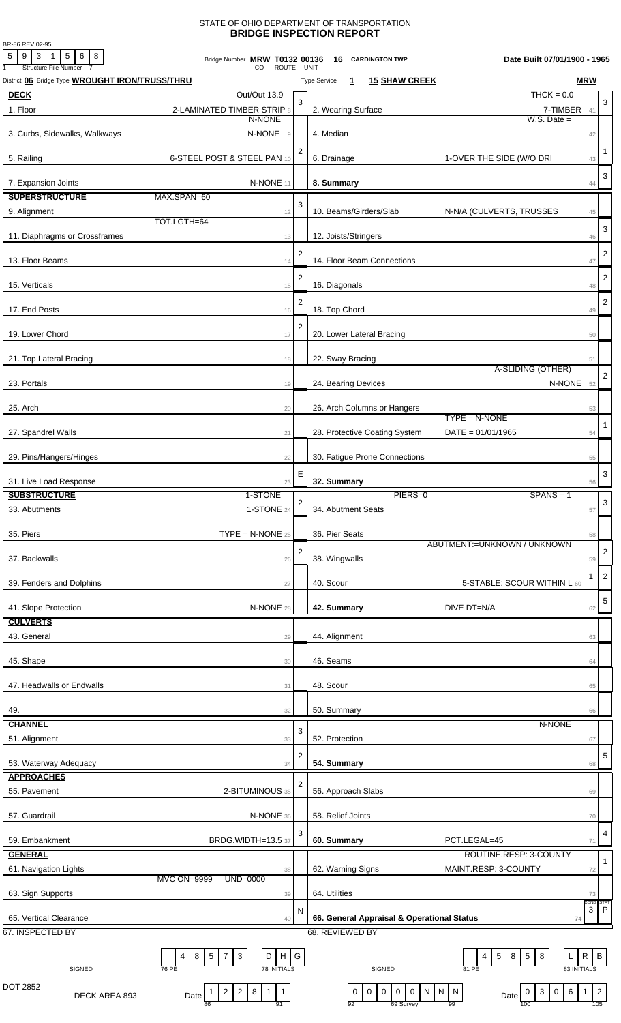## STATE OF OHIO DEPARTMENT OF TRANSPORTATION **BRIDGE INSPECTION REPORT**

BR-86 REV 02-95

| BR-80 REV UZ-95<br>$\mathbf 5$<br>9<br>3<br>5<br>$\overline{1}$<br>6<br>8<br>Structure File Number | Bridge Number MRW T0132 00136<br>CO<br>ROUTE                    |                  | Date Built 07/01/1900 - 1965<br>16<br><b>CARDINGTON TWP</b><br>UNIT                                                                          |                       |
|----------------------------------------------------------------------------------------------------|-----------------------------------------------------------------|------------------|----------------------------------------------------------------------------------------------------------------------------------------------|-----------------------|
| District 06 Bridge Type WROUGHT IRON/TRUSS/THRU                                                    |                                                                 |                  | <b>MRW</b><br><b>15 SHAW CREEK</b><br><b>Type Service</b><br>$\mathbf{1}$                                                                    |                       |
| <b>DECK</b>                                                                                        | Out/Out 13.9                                                    | 3                | $THCK = 0.0$                                                                                                                                 | 3                     |
| 1. Floor                                                                                           | 2-LAMINATED TIMBER STRIP 8<br>N-NONE                            |                  | 2. Wearing Surface<br>7-TIMBER<br>$W.S. Date =$                                                                                              | 41                    |
| 3. Curbs, Sidewalks, Walkways                                                                      | N-NONE<br>$\mathrel{\mathsf{g}}$                                |                  | 4. Median                                                                                                                                    | 42                    |
| 5. Railing                                                                                         | 6-STEEL POST & STEEL PAN 10                                     | $\overline{2}$   | 1-OVER THE SIDE (W/O DRI<br>6. Drainage                                                                                                      | -1<br>43              |
|                                                                                                    | N-NONE 11                                                       |                  |                                                                                                                                              | 3                     |
| 7. Expansion Joints<br><b>SUPERSTRUCTURE</b>                                                       | MAX.SPAN=60                                                     |                  | 8. Summary                                                                                                                                   | 44                    |
| 9. Alignment                                                                                       | 12                                                              | 3                | 10. Beams/Girders/Slab<br>N-N/A (CULVERTS, TRUSSES                                                                                           | 45                    |
| 11. Diaphragms or Crossframes                                                                      | TOT.LGTH=64                                                     |                  | 12. Joists/Stringers                                                                                                                         | 3                     |
|                                                                                                    | 13                                                              | $\overline{c}$   |                                                                                                                                              | 46<br>2               |
| 13. Floor Beams                                                                                    | 14                                                              | 2                | 14. Floor Beam Connections                                                                                                                   | 47<br>$\overline{2}$  |
| 15. Verticals                                                                                      | 15                                                              | 2                | 16. Diagonals                                                                                                                                | 48<br>2               |
| 17. End Posts                                                                                      | 16                                                              | $\overline{2}$   | 18. Top Chord                                                                                                                                | 49                    |
| 19. Lower Chord                                                                                    | 17                                                              |                  | 20. Lower Lateral Bracing                                                                                                                    | 50                    |
| 21. Top Lateral Bracing                                                                            | 18                                                              |                  | 22. Sway Bracing<br>A-SLIDING (OTHER)                                                                                                        | 51                    |
| 23. Portals                                                                                        | 19                                                              |                  | 24. Bearing Devices<br>N-NONE                                                                                                                | 52                    |
| 25. Arch                                                                                           | 20                                                              |                  | 26. Arch Columns or Hangers<br>$TYPE = N-NONE$                                                                                               | 53                    |
| 27. Spandrel Walls                                                                                 | 21                                                              |                  | 28. Protective Coating System<br>$DATE = 01/01/1965$                                                                                         | 54                    |
| 29. Pins/Hangers/Hinges                                                                            | 22                                                              |                  | 30. Fatigue Prone Connections                                                                                                                | 55                    |
| 31. Live Load Response                                                                             | 23                                                              | Е                | 32. Summary                                                                                                                                  | 3<br>56               |
| <b>SUBSTRUCTURE</b>                                                                                | 1-STONE                                                         |                  | PIERS=0<br>$SPANS = 1$                                                                                                                       |                       |
| 33. Abutments                                                                                      | <b>1-STONE 24</b>                                               |                  | 34. Abutment Seats                                                                                                                           | 3<br>57               |
| 35. Piers                                                                                          | $\mathsf{T} \mathsf{YPE} = \mathsf{N}\text{-}\mathsf{NONE}$ 25  |                  | 36. Pier Seats                                                                                                                               | 58                    |
| 37. Backwalls                                                                                      | 26                                                              | 2                | ABUTMENT:=UNKNOWN / UNKNOWN<br>38. Wingwalls                                                                                                 | 2<br>59               |
| 39. Fenders and Dolphins                                                                           | 27                                                              |                  | 40. Scour<br>5-STABLE: SCOUR WITHIN L 60                                                                                                     | $\overline{2}$<br>1   |
| 41. Slope Protection                                                                               | N-NONE 28                                                       |                  | 42. Summary<br>DIVE DT=N/A                                                                                                                   | 5<br>62               |
| <b>CULVERTS</b>                                                                                    |                                                                 |                  |                                                                                                                                              |                       |
| 43. General                                                                                        | 29                                                              |                  | 44. Alignment                                                                                                                                | 63                    |
| 45. Shape                                                                                          | 30                                                              |                  | 46. Seams                                                                                                                                    | 64                    |
| 47. Headwalls or Endwalls                                                                          | 31                                                              |                  | 48. Scour                                                                                                                                    | 65                    |
| 49.                                                                                                | 32                                                              |                  | 50. Summary                                                                                                                                  | 66                    |
| <b>CHANNEL</b>                                                                                     |                                                                 | 3                | N-NONE                                                                                                                                       |                       |
| 51. Alignment                                                                                      | 33                                                              | $\boldsymbol{2}$ | 52. Protection                                                                                                                               | 67<br>5               |
| 53. Waterway Adequacy<br><b>APPROACHES</b>                                                         | 34                                                              |                  | 54. Summary                                                                                                                                  | 68                    |
| 55. Pavement                                                                                       | 2-BITUMINOUS 35                                                 | $\overline{2}$   | 56. Approach Slabs                                                                                                                           | 69                    |
| 57. Guardrail                                                                                      | N-NONE 36                                                       |                  | 58. Relief Joints                                                                                                                            | 70                    |
| 59. Embankment                                                                                     | <b>BRDG.WIDTH=13.5 37</b>                                       | 3                | 60. Summary<br>PCT.LEGAL=45                                                                                                                  | 4<br>71               |
| <b>GENERAL</b>                                                                                     |                                                                 |                  | ROUTINE.RESP: 3-COUNTY                                                                                                                       | $\mathbf{1}$          |
| 61. Navigation Lights                                                                              | 38<br><b>MVC ON=9999</b><br>$UND=0000$                          |                  | MAINT.RESP: 3-COUNTY<br>62. Warning Signs                                                                                                    | 72                    |
| 63. Sign Supports                                                                                  | 39                                                              |                  | 64. Utilities                                                                                                                                | 73                    |
| 65. Vertical Clearance                                                                             | 40                                                              | N                | 66. General Appraisal & Operational Status<br>74                                                                                             | $3$ $P$               |
| 67. INSPECTED BY                                                                                   |                                                                 |                  | 68. REVIEWED BY                                                                                                                              |                       |
|                                                                                                    | $\mathsf{R}$<br>5 <sup>1</sup><br>$\overline{7}$<br>3<br>H<br>D | G                | $5^{\circ}$<br>$\mathsf{R}$<br>5<br>8<br>R<br>$\overline{\mathbf{A}}$                                                                        | $\mathsf{R}$          |
| SIGNED<br>DOT 2852                                                                                 |                                                                 |                  | <b>SIGNED</b><br>81 PE                                                                                                                       |                       |
| DECK AREA 893                                                                                      | $2 \mid 8$<br>2 <sup>1</sup><br>Date                            |                  | $\mathbf 0$<br>$\mathbf 0$<br>$\mathbf 0$<br>$\overline{0}$<br>N<br>$\overline{N}$<br>6<br>0<br>0<br>N<br>3<br>Date<br>92<br>69 Survey<br>99 | $\overline{2}$<br>105 |